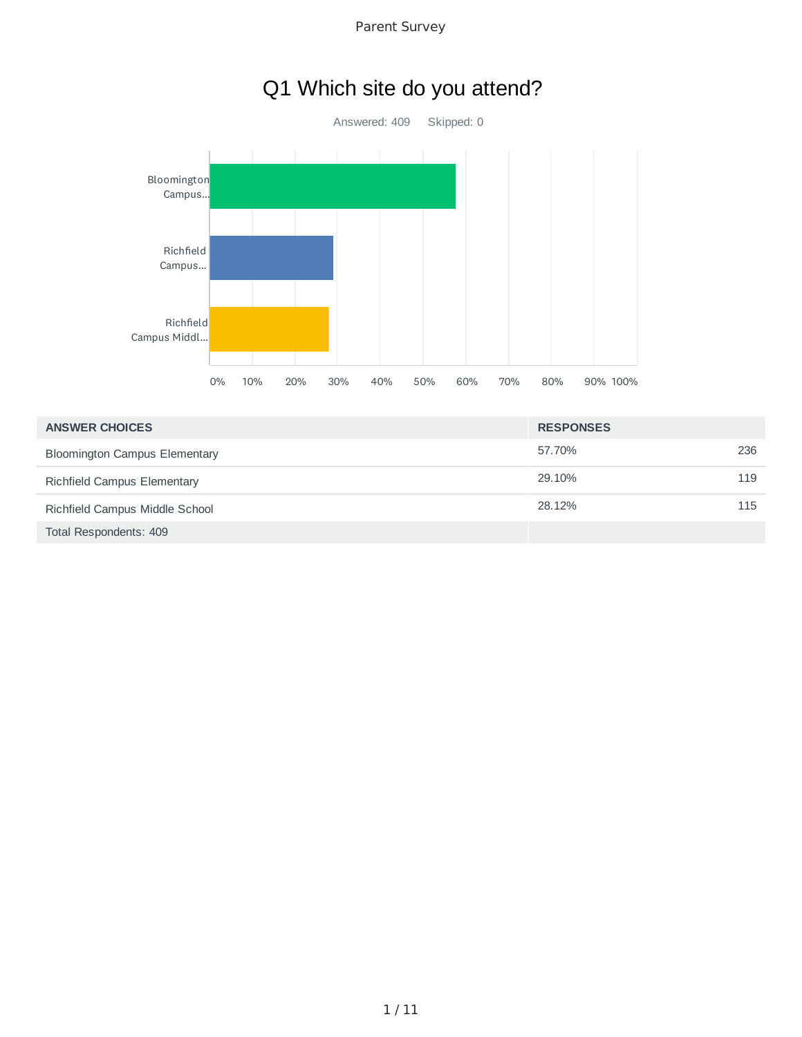Parent Survey

# Q1 Which site do you attend?



| <b>ANSWER CHOICES</b>                | <b>RESPONSES</b> |      |
|--------------------------------------|------------------|------|
| <b>Bloomington Campus Elementary</b> | 57.70%           | 236  |
| Richfield Campus Elementary          | 29.10%           | 119  |
| Richfield Campus Middle School       | 28.12%           | 115. |
| Total Respondents: 409               |                  |      |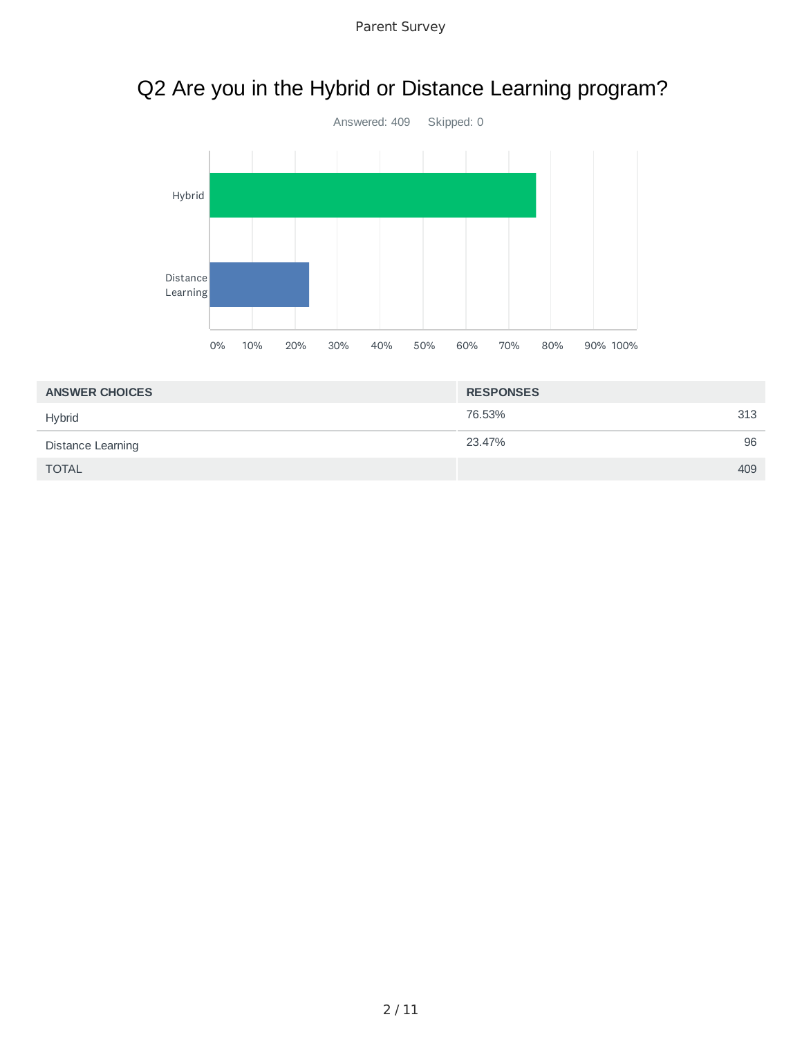# Q2 Are you in the Hybrid or Distance Learning program?



| <b>ANSWER CHOICES</b> | <b>RESPONSES</b> |     |
|-----------------------|------------------|-----|
| <b>Hybrid</b>         | 76.53%           | 313 |
| Distance Learning     | 23.47%           | 96  |
| <b>TOTAL</b>          |                  | 409 |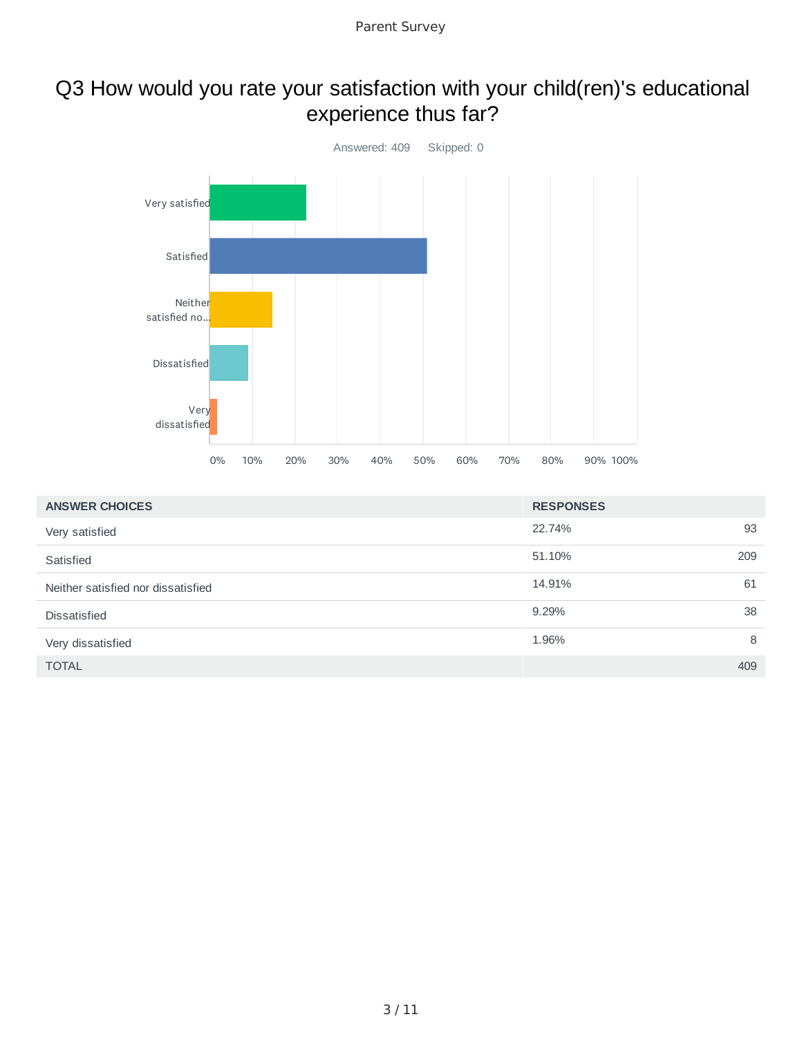## Q3 How would you rate your satisfaction with your child(ren)'s educational experience thus far?



| <b>ANSWER CHOICES</b>              | <b>RESPONSES</b> |     |
|------------------------------------|------------------|-----|
| Very satisfied                     | 22.74%           | 93  |
| Satisfied                          | 51.10%           | 209 |
| Neither satisfied nor dissatisfied | 14.91%           | 61  |
| <b>Dissatisfied</b>                | 9.29%            | 38  |
| Very dissatisfied                  | 1.96%            | 8   |
| <b>TOTAL</b>                       |                  | 409 |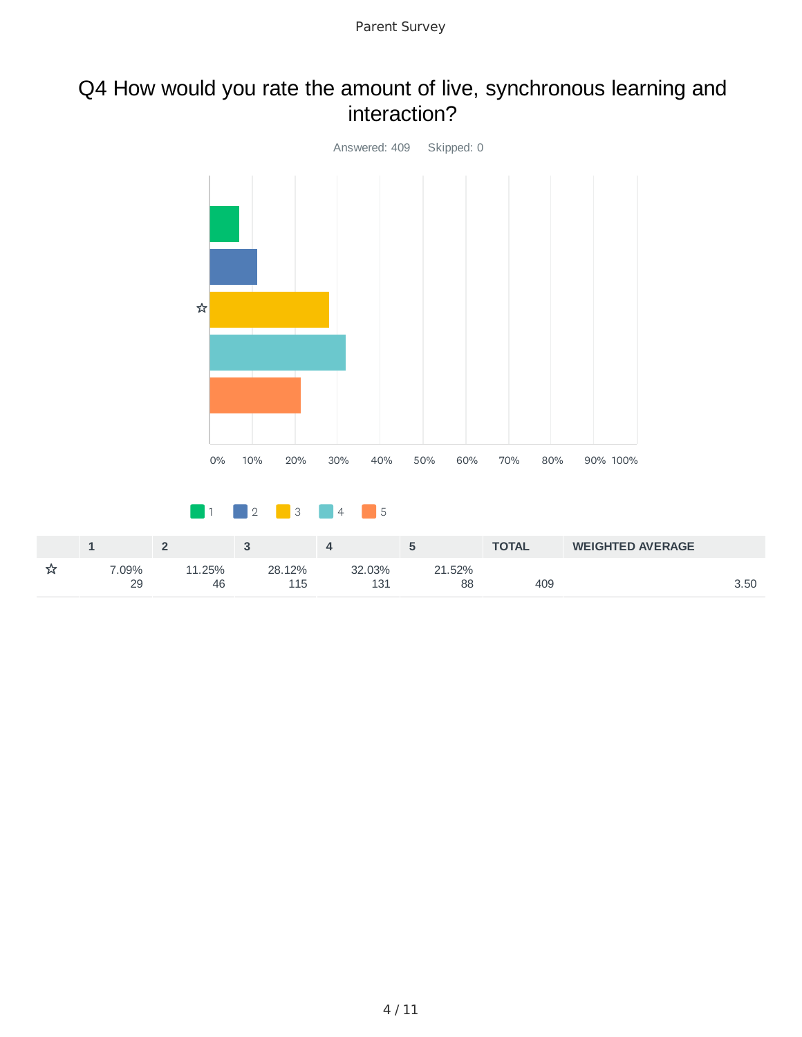### Q4 How would you rate the amount of live, synchronous learning and interaction?

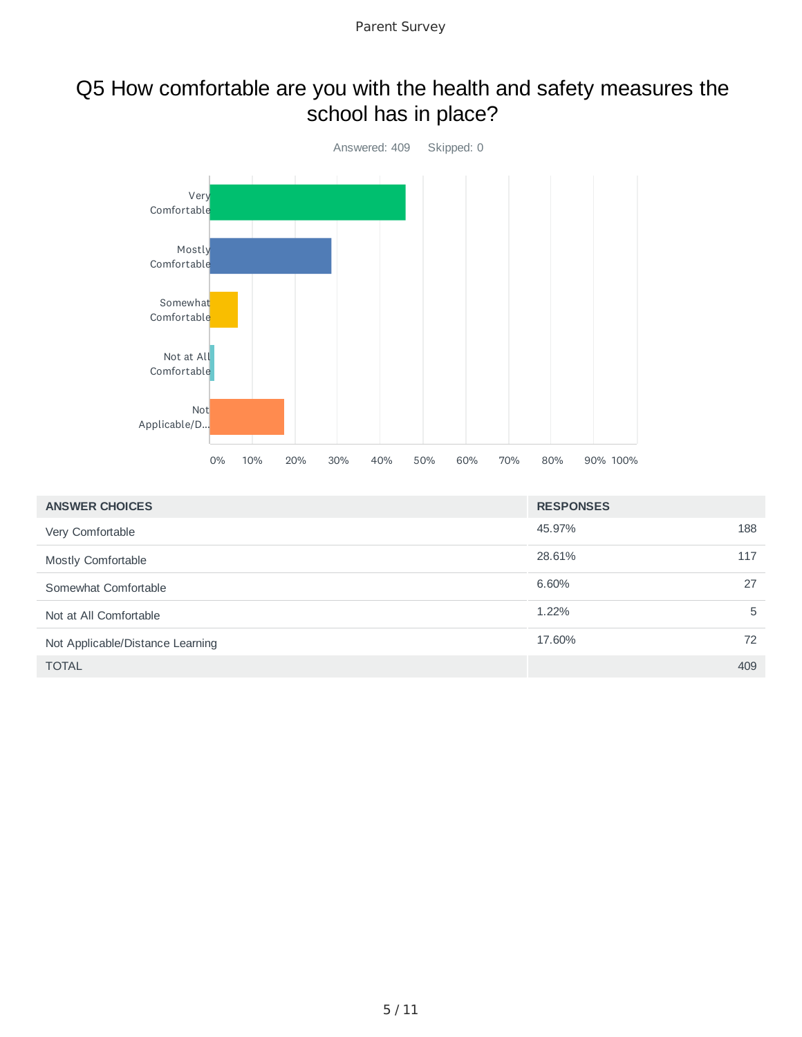### Q5 How comfortable are you with the health and safety measures the school has in place?



| <b>ANSWER CHOICES</b>            | <b>RESPONSES</b> |     |
|----------------------------------|------------------|-----|
| Very Comfortable                 | 45.97%           | 188 |
| Mostly Comfortable               | 28.61%           | 117 |
| Somewhat Comfortable             | 6.60%            | 27  |
| Not at All Comfortable           | 1.22%            | 5   |
| Not Applicable/Distance Learning | 17.60%           | 72  |
| <b>TOTAL</b>                     |                  | 409 |
|                                  |                  |     |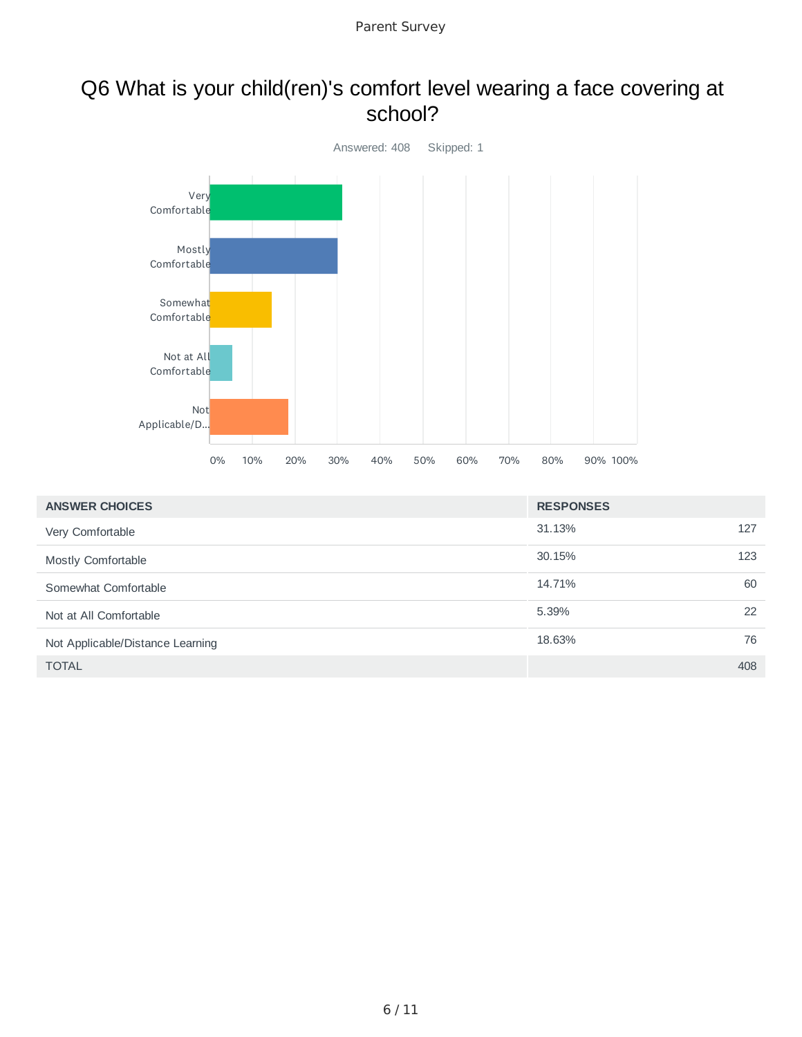#### Q6 What is your child(ren)'s comfort level wearing a face covering at school?



| <b>ANSWER CHOICES</b>            | <b>RESPONSES</b> |     |
|----------------------------------|------------------|-----|
| Very Comfortable                 | 31.13%           | 127 |
| Mostly Comfortable               | 30.15%           | 123 |
| Somewhat Comfortable             | 14.71%           | 60  |
| Not at All Comfortable           | 5.39%            | 22  |
| Not Applicable/Distance Learning | 18.63%           | 76  |
| <b>TOTAL</b>                     |                  | 408 |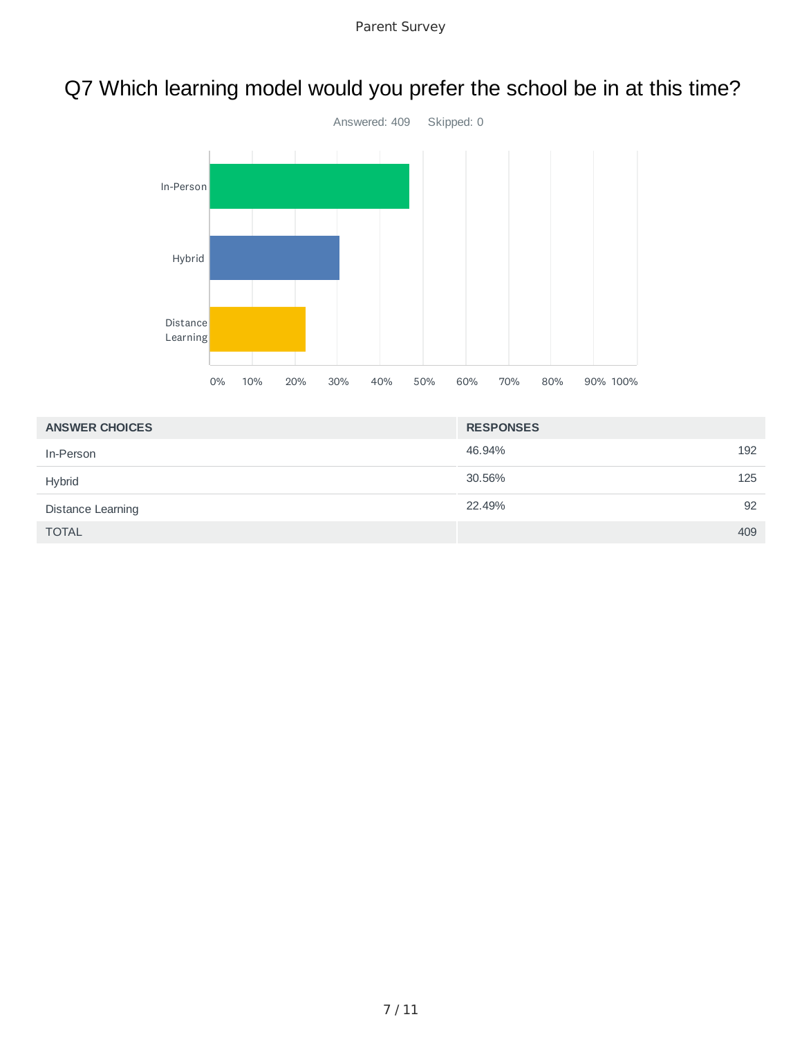# Q7 Which learning model would you prefer the school be in at this time?



| <b>ANSWER CHOICES</b>    | <b>RESPONSES</b> |
|--------------------------|------------------|
| In-Person                | 192<br>46.94%    |
| <b>Hybrid</b>            | 125<br>30.56%    |
| <b>Distance Learning</b> | 92<br>22.49%     |
| <b>TOTAL</b>             | 409              |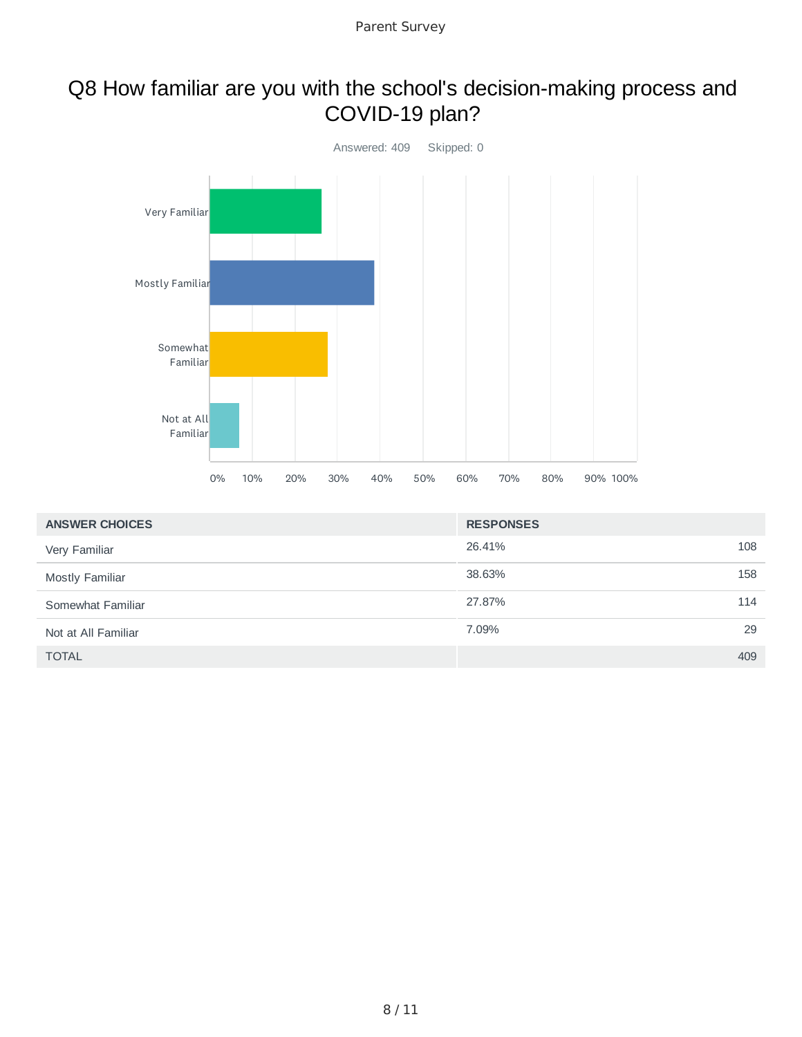### Q8 How familiar are you with the school's decision-making process and COVID-19 plan?



| <b>ANSWER CHOICES</b>  | <b>RESPONSES</b> |     |
|------------------------|------------------|-----|
| Very Familiar          | 26.41%           | 108 |
| <b>Mostly Familiar</b> | 38.63%           | 158 |
| Somewhat Familiar      | 27.87%           | 114 |
| Not at All Familiar    | 7.09%            | 29  |
| <b>TOTAL</b>           |                  | 409 |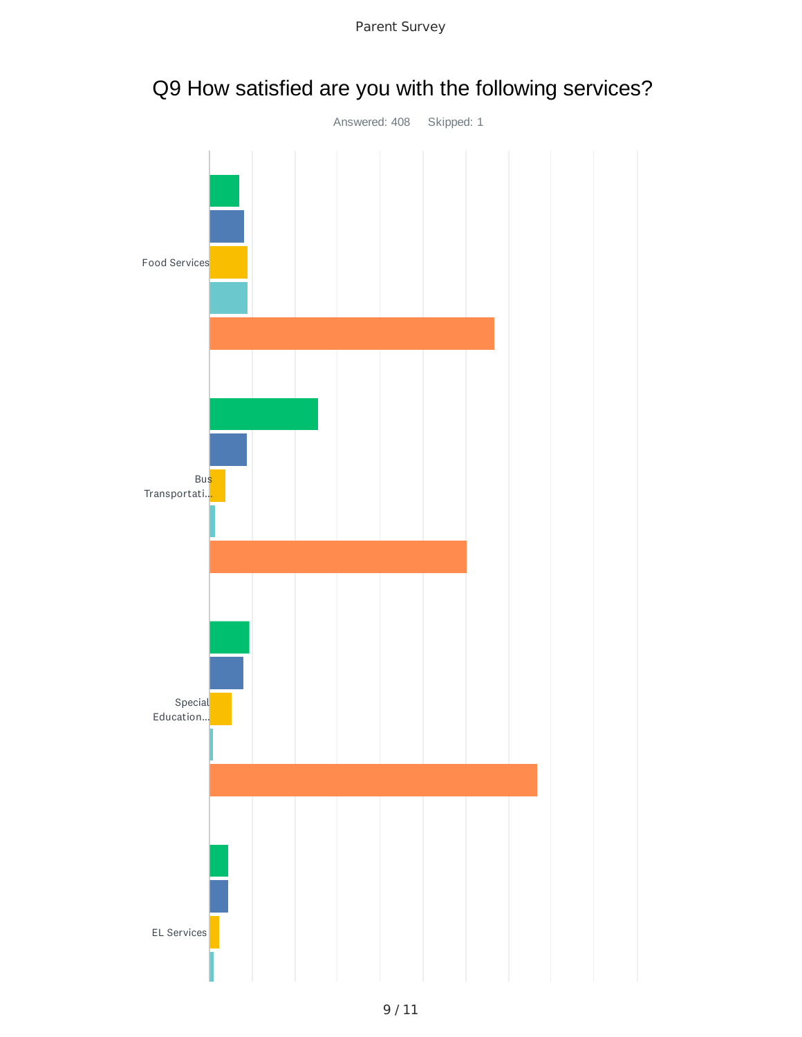

Parent Survey

# Q9 How satisfied are you with the following services?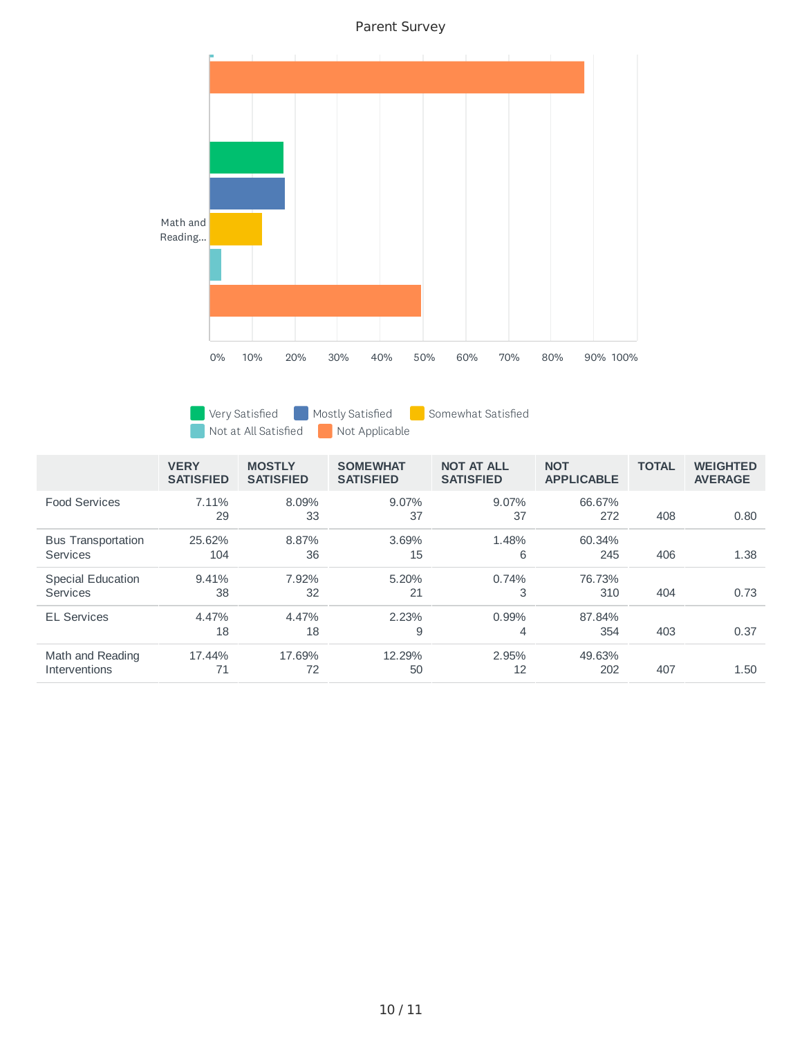Parent Survey



Very Satisfied Mostly Satisfied Somewhat Satisfied

Not at All Satisfied Not Applicable

|                                              | <b>VERY</b><br><b>SATISFIED</b> | <b>MOSTLY</b><br><b>SATISFIED</b> | <b>SOMEWHAT</b><br><b>SATISFIED</b> | <b>NOT AT ALL</b><br><b>SATISFIED</b> | <b>NOT</b><br><b>APPLICABLE</b> | <b>TOTAL</b> | <b>WEIGHTED</b><br><b>AVERAGE</b> |
|----------------------------------------------|---------------------------------|-----------------------------------|-------------------------------------|---------------------------------------|---------------------------------|--------------|-----------------------------------|
| <b>Food Services</b>                         | 7.11%<br>29                     | 8.09%<br>33                       | 9.07%<br>37                         | 9.07%<br>37                           | 66.67%<br>272                   | 408          | 0.80                              |
| <b>Bus Transportation</b><br><b>Services</b> | 25.62%<br>104                   | 8.87%<br>36                       | 3.69%<br>15                         | 1.48%<br>6                            | 60.34%<br>245                   | 406          | 1.38                              |
| <b>Special Education</b><br><b>Services</b>  | 9.41%<br>38                     | 7.92%<br>32                       | 5.20%<br>21                         | 0.74%<br>3                            | 76.73%<br>310                   | 404          | 0.73                              |
| <b>EL Services</b>                           | 4.47%<br>18                     | 4.47%<br>18                       | 2.23%<br>9                          | 0.99%<br>4                            | 87.84%<br>354                   | 403          | 0.37                              |
| Math and Reading<br><b>Interventions</b>     | 17.44%<br>71                    | 17.69%<br>72                      | 12.29%<br>50                        | 2.95%<br>12                           | 49.63%<br>202                   | 407          | 1.50                              |